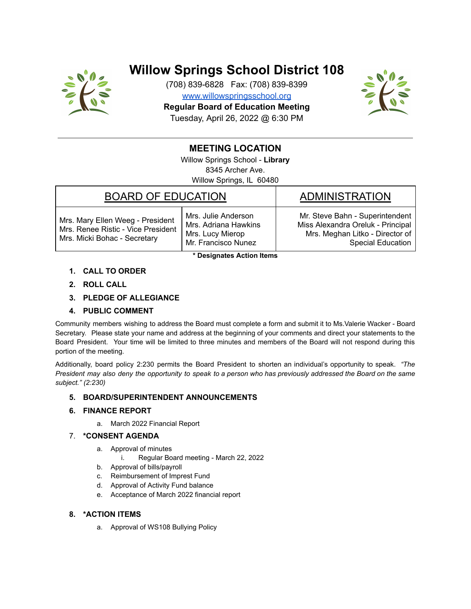

# **Willow Springs School District 108**

(708) 839-6828 Fax: (708) 839-8399 [www.willowspringsschool.org](http://www.willowspringsschool.org/) **Regular Board of Education Meeting** Tuesday, April 26, 2022 @ 6:30 PM



# **MEETING LOCATION**

Willow Springs School - **Library** 8345 Archer Ave. Willow Springs, IL 60480

## BOARD OF EDUCATION BOARD OF EDUCATION

Mrs. Mary Ellen Weeg - President Mrs. Renee Ristic - Vice President Mrs. Micki Bohac - Secretary

Mrs. Julie Anderson Mrs. Adriana Hawkins Mrs. Lucy Mierop Mr. Francisco Nunez

Mr. Steve Bahn - Superintendent Miss Alexandra Oreluk - Principal Mrs. Meghan Litko - Director of Special Education

**\* Designates Action Items**

- **1. CALL TO ORDER**
- **2. ROLL CALL**
- **3. PLEDGE OF ALLEGIANCE**

#### **4. PUBLIC COMMENT**

Community members wishing to address the Board must complete a form and submit it to Ms.Valerie Wacker - Board Secretary. Please state your name and address at the beginning of your comments and direct your statements to the Board President. Your time will be limited to three minutes and members of the Board will not respond during this portion of the meeting.

Additionally, board policy 2:230 permits the Board President to shorten an individual's opportunity to speak. *"The* President may also deny the opportunity to speak to a person who has previously addressed the Board on the same *subject." (2:230)*

#### **5. BOARD/SUPERINTENDENT ANNOUNCEMENTS**

#### **6. FINANCE REPORT**

a. March 2022 Financial Report

#### 7. **\*CONSENT AGENDA**

- a. Approval of minutes
	- i. Regular Board meeting March 22, 2022
- b. Approval of bills/payroll
- c. Reimbursement of Imprest Fund
- d. Approval of Activity Fund balance
- e. Acceptance of March 2022 financial report

### **8. \*ACTION ITEMS**

a. Approval of WS108 Bullying Policy